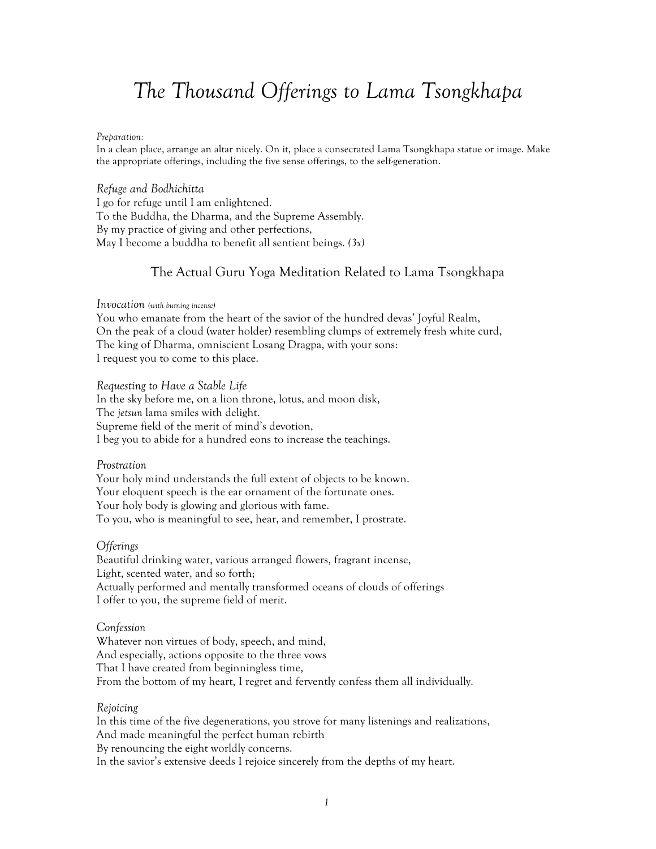# *The Thousand Offerings to Lama Tsongkhapa*

#### *Preparation:*

In a clean place, arrange an altar nicely. On it, place a consecrated Lama Tsongkhapa statue or image. Make the appropriate offerings, including the five sense offerings, to the self-generation.

*Refuge and Bodhichitta* I go for refuge until I am enlightened. To the Buddha, the Dharma, and the Supreme Assembly. By my practice of giving and other perfections, May I become a buddha to benefit all sentient beings. *(3x)*

# The Actual Guru Yoga Meditation Related to Lama Tsongkhapa

#### *Invocation (with burning incense)*

You who emanate from the heart of the savior of the hundred devas' Joyful Realm, On the peak of a cloud (water holder) resembling clumps of extremely fresh white curd, The king of Dharma, omniscient Losang Dragpa, with your sons: I request you to come to this place.

#### *Requesting to Have a Stable Life*

In the sky before me, on a lion throne, lotus, and moon disk, The *jetsun* lama smiles with delight. Supreme field of the merit of mind's devotion, I beg you to abide for a hundred eons to increase the teachings.

#### *Prostration*

Your holy mind understands the full extent of objects to be known. Your eloquent speech is the ear ornament of the fortunate ones. Your holy body is glowing and glorious with fame. To you, who is meaningful to see, hear, and remember, I prostrate.

#### *Offerings*

Beautiful drinking water, various arranged flowers, fragrant incense, Light, scented water, and so forth; Actually performed and mentally transformed oceans of clouds of offerings I offer to you, the supreme field of merit.

#### *Confession*

Whatever non virtues of body, speech, and mind, And especially, actions opposite to the three vows That I have created from beginningless time, From the bottom of my heart, I regret and fervently confess them all individually.

# *Rejoicing*

In this time of the five degenerations, you strove for many listenings and realizations, And made meaningful the perfect human rebirth By renouncing the eight worldly concerns. In the savior's extensive deeds I rejoice sincerely from the depths of my heart.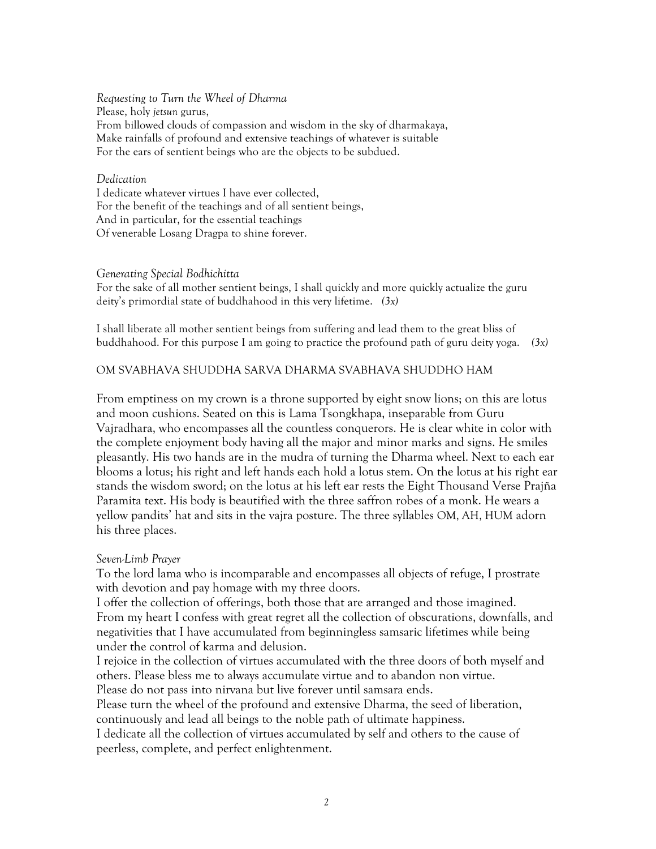*Requesting to Turn the Wheel of Dharma* Please, holy *jetsun* gurus, From billowed clouds of compassion and wisdom in the sky of dharmakaya, Make rainfalls of profound and extensive teachings of whatever is suitable For the ears of sentient beings who are the objects to be subdued.

### *Dedication*

I dedicate whatever virtues I have ever collected, For the benefit of the teachings and of all sentient beings, And in particular, for the essential teachings Of venerable Losang Dragpa to shine forever.

# *Generating Special Bodhichitta*

For the sake of all mother sentient beings, I shall quickly and more quickly actualize the guru deity's primordial state of buddhahood in this very lifetime. *(3x)*

I shall liberate all mother sentient beings from suffering and lead them to the great bliss of buddhahood. For this purpose I am going to practice the profound path of guru deity yoga. *(3x)*

# OM SVABHAVA SHUDDHA SARVA DHARMA SVABHAVA SHUDDHO HAM

From emptiness on my crown is a throne supported by eight snow lions; on this are lotus and moon cushions. Seated on this is Lama Tsongkhapa, inseparable from Guru Vajradhara, who encompasses all the countless conquerors. He is clear white in color with the complete enjoyment body having all the major and minor marks and signs. He smiles pleasantly. His two hands are in the mudra of turning the Dharma wheel. Next to each ear blooms a lotus; his right and left hands each hold a lotus stem. On the lotus at his right ear stands the wisdom sword; on the lotus at his left ear rests the Eight Thousand Verse Prajña Paramita text. His body is beautified with the three saffron robes of a monk. He wears a yellow pandits' hat and sits in the vajra posture. The three syllables OM, AH, HUM adorn his three places.

# *Seven-Limb Prayer*

To the lord lama who is incomparable and encompasses all objects of refuge, I prostrate with devotion and pay homage with my three doors.

I offer the collection of offerings, both those that are arranged and those imagined. From my heart I confess with great regret all the collection of obscurations, downfalls, and negativities that I have accumulated from beginningless samsaric lifetimes while being under the control of karma and delusion.

I rejoice in the collection of virtues accumulated with the three doors of both myself and others. Please bless me to always accumulate virtue and to abandon non virtue.

Please do not pass into nirvana but live forever until samsara ends.

Please turn the wheel of the profound and extensive Dharma, the seed of liberation, continuously and lead all beings to the noble path of ultimate happiness.

I dedicate all the collection of virtues accumulated by self and others to the cause of peerless, complete, and perfect enlightenment.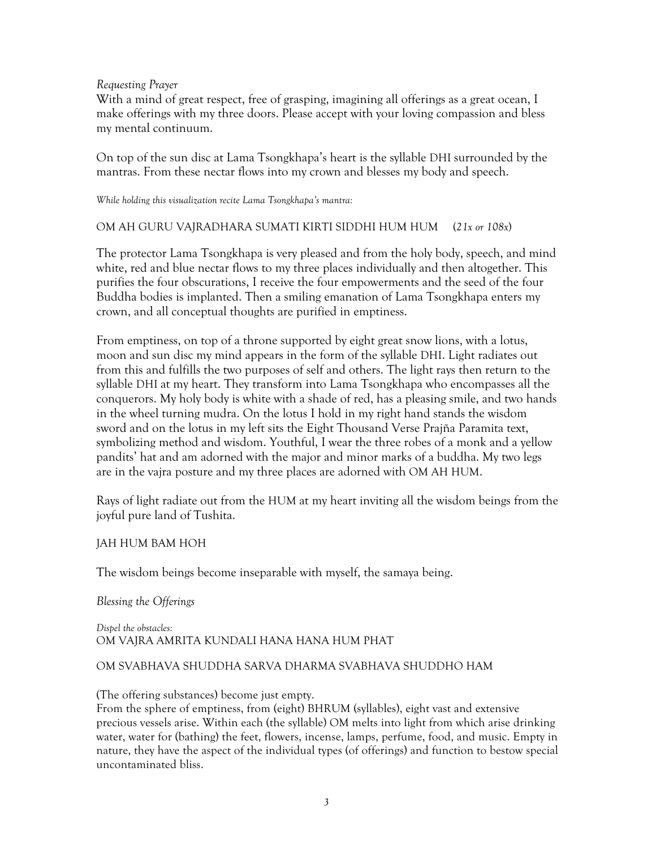# *Requesting Prayer*

With a mind of great respect, free of grasping, imagining all offerings as a great ocean, I make offerings with my three doors. Please accept with your loving compassion and bless my mental continuum.

On top of the sun disc at Lama Tsongkhapa's heart is the syllable DHI surrounded by the mantras. From these nectar flows into my crown and blesses my body and speech.

*While holding this visualization recite Lama Tsongkhapa's mantra:* 

# OM AH GURU VAJRADHARA SUMATI KIRTI SIDDHI HUM HUM (*21x or 108x*)

The protector Lama Tsongkhapa is very pleased and from the holy body, speech, and mind white, red and blue nectar flows to my three places individually and then altogether. This purifies the four obscurations, I receive the four empowerments and the seed of the four Buddha bodies is implanted. Then a smiling emanation of Lama Tsongkhapa enters my crown, and all conceptual thoughts are purified in emptiness.

From emptiness, on top of a throne supported by eight great snow lions, with a lotus, moon and sun disc my mind appears in the form of the syllable DHI. Light radiates out from this and fulfills the two purposes of self and others. The light rays then return to the syllable DHI at my heart. They transform into Lama Tsongkhapa who encompasses all the conquerors. My holy body is white with a shade of red, has a pleasing smile, and two hands in the wheel turning mudra. On the lotus I hold in my right hand stands the wisdom sword and on the lotus in my left sits the Eight Thousand Verse Prajña Paramita text, symbolizing method and wisdom. Youthful, I wear the three robes of a monk and a yellow pandits' hat and am adorned with the major and minor marks of a buddha. My two legs are in the vajra posture and my three places are adorned with OM AH HUM.

Rays of light radiate out from the HUM at my heart inviting all the wisdom beings from the joyful pure land of Tushita.

# JAH HUM BAM HOH

The wisdom beings become inseparable with myself, the samaya being.

# *Blessing the Offerings*

### *Dispel the obstacles:* OM VAJRA AMRITA KUNDALI HANA HANA HUM PHAT

# OM SVABHAVA SHUDDHA SARVA DHARMA SVABHAVA SHUDDHO HAM

# (The offering substances) become just empty.

From the sphere of emptiness, from (eight) BHRUM (syllables), eight vast and extensive precious vessels arise. Within each (the syllable) OM melts into light from which arise drinking water, water for (bathing) the feet, flowers, incense, lamps, perfume, food, and music. Empty in nature, they have the aspect of the individual types (of offerings) and function to bestow special uncontaminated bliss.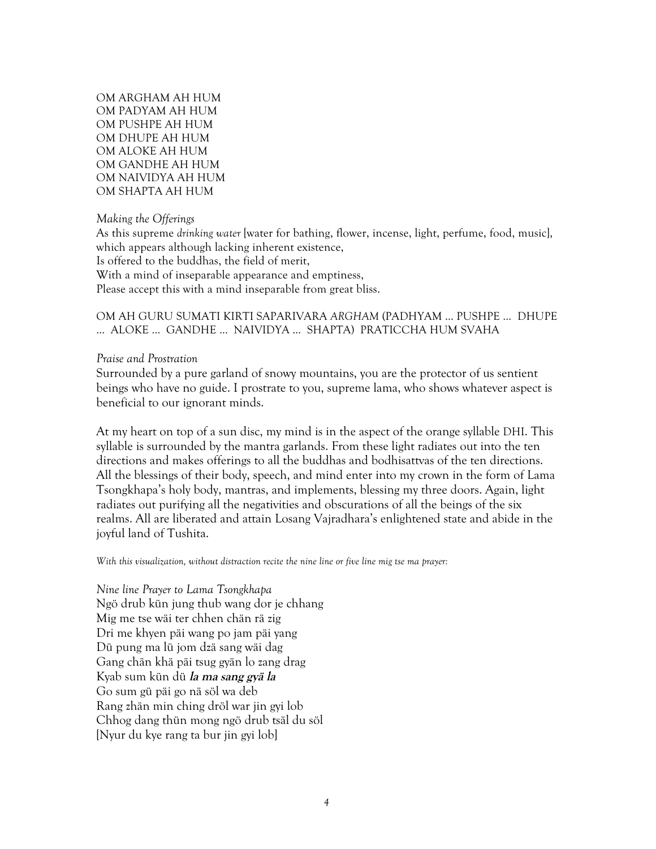OM ARGHAM AH HUM OM PADYAM AH HUM OM PUSHPE AH HUM OM DHUPE AH HUM OM ALOKE AH HUM OM GANDHE AH HUM OM NAIVIDYA AH HUM OM SHAPTA AH HUM

### *Making the Offerings*

As this supreme *drinking water* [water for bathing, flower, incense, light, perfume, food, music], which appears although lacking inherent existence, Is offered to the buddhas, the field of merit, With a mind of inseparable appearance and emptiness, Please accept this with a mind inseparable from great bliss.

# OM AH GURU SUMATI KIRTI SAPARIVARA *ARGHAM* (PADHYAM … PUSHPE … DHUPE … ALOKE … GANDHE … NAIVIDYA … SHAPTA) PRATICCHA HUM SVAHA

### *Praise and Prostration*

Surrounded by a pure garland of snowy mountains, you are the protector of us sentient beings who have no guide. I prostrate to you, supreme lama, who shows whatever aspect is beneficial to our ignorant minds.

At my heart on top of a sun disc, my mind is in the aspect of the orange syllable DHI. This syllable is surrounded by the mantra garlands. From these light radiates out into the ten directions and makes offerings to all the buddhas and bodhisattvas of the ten directions. All the blessings of their body, speech, and mind enter into my crown in the form of Lama Tsongkhapa's holy body, mantras, and implements, blessing my three doors. Again, light radiates out purifying all the negativities and obscurations of all the beings of the six realms. All are liberated and attain Losang Vajradhara's enlightened state and abide in the joyful land of Tushita.

*With this visualization, without distraction recite the nine line or five line mig tse ma prayer:*

*Nine line Prayer to Lama Tsongkhapa* Ngö drub kün jung thub wang dor je chhang Mig me tse wäi ter chhen chän rä zig Dri me khyen päi wang po jam päi yang Dü pung ma lü jom dzä sang wäi dag Gang chän khä päi tsug gyän lo zang drag Kyab sum kün dü **la ma sang gyä la**  Go sum gü päi go nä söl wa deb Rang zhän min ching dröl war jin gyi lob Chhog dang thün mong ngö drub tsäl du söl [Nyur du kye rang ta bur jin gyi lob]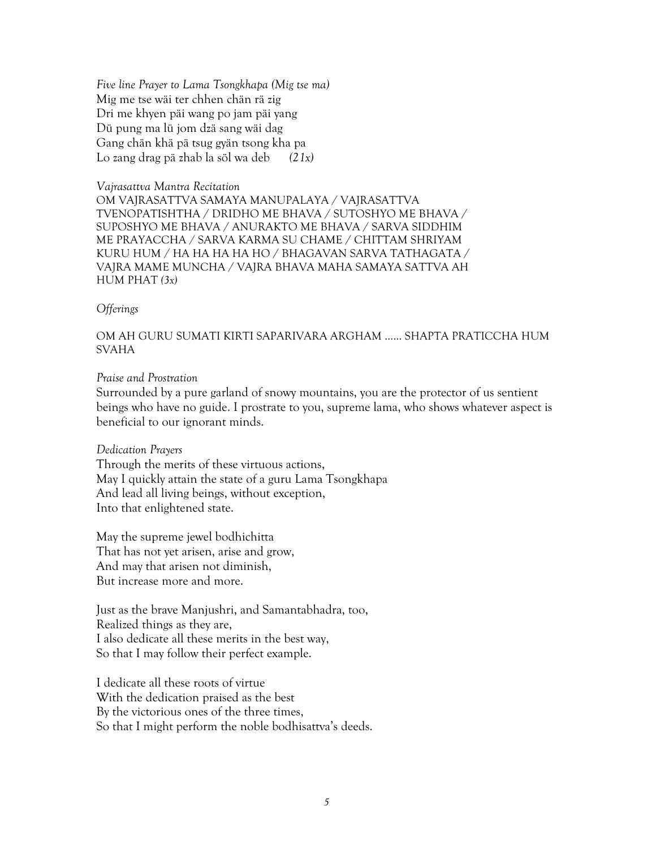*Five line Prayer to Lama Tsongkhapa (Mig tse ma)* Mig me tse wäi ter chhen chän rä zig Dri me khyen päi wang po jam päi yang Dü pung ma lü jom dzä sang wäi dag Gang chän khä pä tsug gyän tsong kha pa Lo zang drag pä zhab la söl wa deb *(21x)*

# *Vajrasattva Mantra Recitation*

OM VAJRASATTVA SAMAYA MANUPALAYA / VAJRASATTVA TVENOPATISHTHA / DRIDHO ME BHAVA / SUTOSHYO ME BHAVA / SUPOSHYO ME BHAVA / ANURAKTO ME BHAVA / SARVA SIDDHIM ME PRAYACCHA / SARVA KARMA SU CHAME / CHITTAM SHRIYAM KURU HUM / HA HA HA HA HO / BHAGAVAN SARVA TATHAGATA / VAJRA MAME MUNCHA / VAJRA BHAVA MAHA SAMAYA SATTVA AH HUM PHAT *(3x)*

# *Offerings*

# OM AH GURU SUMATI KIRTI SAPARIVARA ARGHAM …… SHAPTA PRATICCHA HUM SVAHA

# *Praise and Prostration*

Surrounded by a pure garland of snowy mountains, you are the protector of us sentient beings who have no guide. I prostrate to you, supreme lama, who shows whatever aspect is beneficial to our ignorant minds.

# *Dedication Prayers*

Through the merits of these virtuous actions, May I quickly attain the state of a guru Lama Tsongkhapa And lead all living beings, without exception, Into that enlightened state.

May the supreme jewel bodhichitta That has not yet arisen, arise and grow, And may that arisen not diminish, But increase more and more.

Just as the brave Manjushri, and Samantabhadra, too, Realized things as they are, I also dedicate all these merits in the best way, So that I may follow their perfect example.

I dedicate all these roots of virtue With the dedication praised as the best By the victorious ones of the three times, So that I might perform the noble bodhisattva's deeds.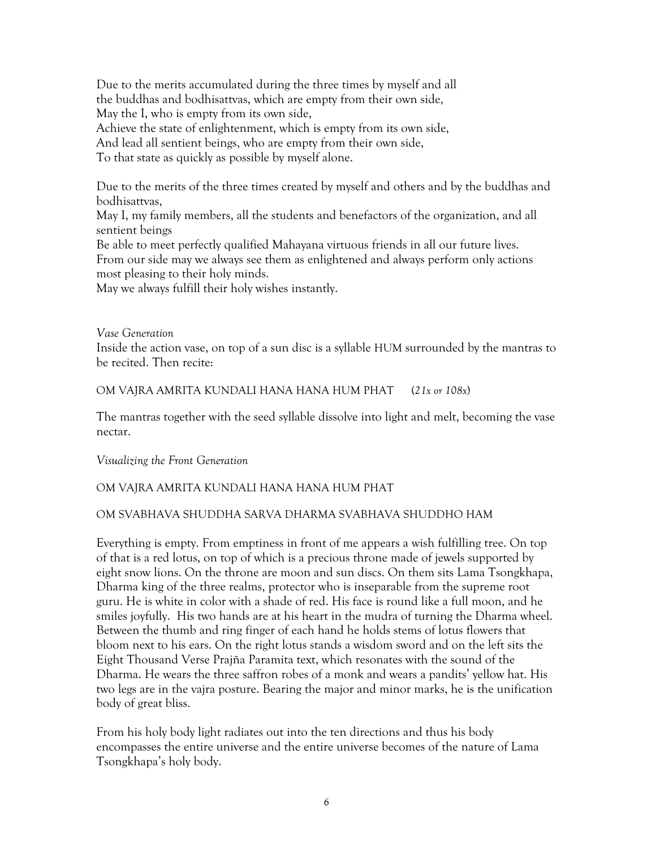Due to the merits accumulated during the three times by myself and all the buddhas and bodhisattvas, which are empty from their own side, May the I, who is empty from its own side, Achieve the state of enlightenment, which is empty from its own side, And lead all sentient beings, who are empty from their own side, To that state as quickly as possible by myself alone.

Due to the merits of the three times created by myself and others and by the buddhas and bodhisattvas,

May I, my family members, all the students and benefactors of the organization, and all sentient beings

Be able to meet perfectly qualified Mahayana virtuous friends in all our future lives. From our side may we always see them as enlightened and always perform only actions most pleasing to their holy minds.

May we always fulfill their holy wishes instantly.

*Vase Generation*

Inside the action vase, on top of a sun disc is a syllable HUM surrounded by the mantras to be recited. Then recite:

OM VAJRA AMRITA KUNDALI HANA HANA HUM PHAT (*21x or 108x*)

The mantras together with the seed syllable dissolve into light and melt, becoming the vase nectar.

*Visualizing the Front Generation*

# OM VAJRA AMRITA KUNDALI HANA HANA HUM PHAT

# OM SVABHAVA SHUDDHA SARVA DHARMA SVABHAVA SHUDDHO HAM

Everything is empty. From emptiness in front of me appears a wish fulfilling tree. On top of that is a red lotus, on top of which is a precious throne made of jewels supported by eight snow lions. On the throne are moon and sun discs. On them sits Lama Tsongkhapa, Dharma king of the three realms, protector who is inseparable from the supreme root guru. He is white in color with a shade of red. His face is round like a full moon, and he smiles joyfully. His two hands are at his heart in the mudra of turning the Dharma wheel. Between the thumb and ring finger of each hand he holds stems of lotus flowers that bloom next to his ears. On the right lotus stands a wisdom sword and on the left sits the Eight Thousand Verse Prajña Paramita text, which resonates with the sound of the Dharma. He wears the three saffron robes of a monk and wears a pandits' yellow hat. His two legs are in the vajra posture. Bearing the major and minor marks, he is the unification body of great bliss.

From his holy body light radiates out into the ten directions and thus his body encompasses the entire universe and the entire universe becomes of the nature of Lama Tsongkhapa's holy body.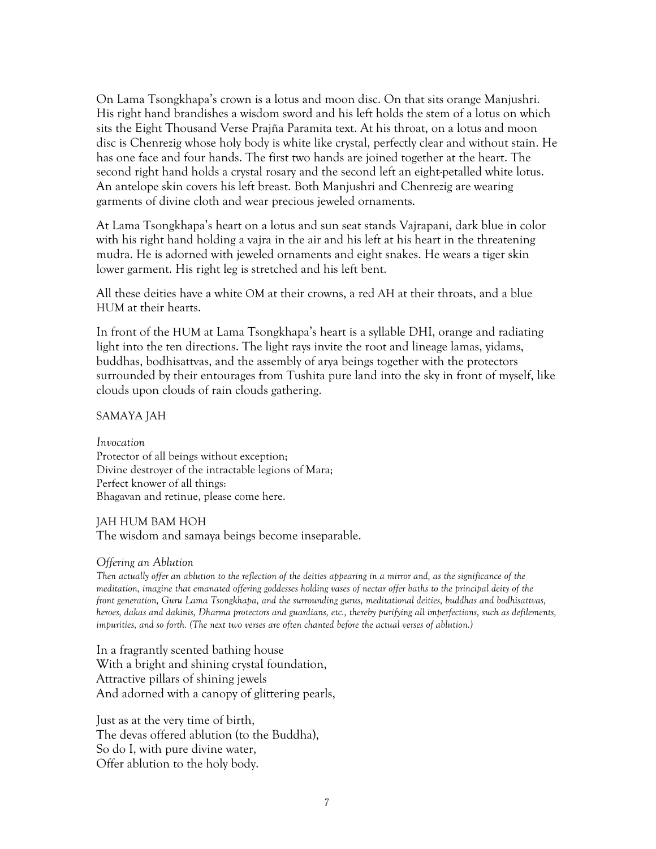On Lama Tsongkhapa's crown is a lotus and moon disc. On that sits orange Manjushri. His right hand brandishes a wisdom sword and his left holds the stem of a lotus on which sits the Eight Thousand Verse Prajña Paramita text. At his throat, on a lotus and moon disc is Chenrezig whose holy body is white like crystal, perfectly clear and without stain. He has one face and four hands. The first two hands are joined together at the heart. The second right hand holds a crystal rosary and the second left an eight-petalled white lotus. An antelope skin covers his left breast. Both Manjushri and Chenrezig are wearing garments of divine cloth and wear precious jeweled ornaments.

At Lama Tsongkhapa's heart on a lotus and sun seat stands Vajrapani, dark blue in color with his right hand holding a vajra in the air and his left at his heart in the threatening mudra. He is adorned with jeweled ornaments and eight snakes. He wears a tiger skin lower garment. His right leg is stretched and his left bent.

All these deities have a white OM at their crowns, a red AH at their throats, and a blue HUM at their hearts.

In front of the HUM at Lama Tsongkhapa's heart is a syllable DHI, orange and radiating light into the ten directions. The light rays invite the root and lineage lamas, yidams, buddhas, bodhisattvas, and the assembly of arya beings together with the protectors surrounded by their entourages from Tushita pure land into the sky in front of myself, like clouds upon clouds of rain clouds gathering.

# SAMAYA JAH

*Invocation* Protector of all beings without exception; Divine destroyer of the intractable legions of Mara; Perfect knower of all things: Bhagavan and retinue, please come here.

#### JAH HUM BAM HOH

The wisdom and samaya beings become inseparable.

#### *Offering an Ablution*

*Then actually offer an ablution to the reflection of the deities appearing in a mirror and, as the significance of the meditation, imagine that emanated offering goddesses holding vases of nectar offer baths to the principal deity of the front generation, Guru Lama Tsongkhapa, and the surrounding gurus, meditational deities, buddhas and bodhisattvas, heroes, dakas and dakinis, Dharma protectors and guardians, etc., thereby purifying all imperfections, such as defilements, impurities, and so forth. (The next two verses are often chanted before the actual verses of ablution.)*

In a fragrantly scented bathing house With a bright and shining crystal foundation, Attractive pillars of shining jewels And adorned with a canopy of glittering pearls,

Just as at the very time of birth, The devas offered ablution (to the Buddha), So do I, with pure divine water, Offer ablution to the holy body.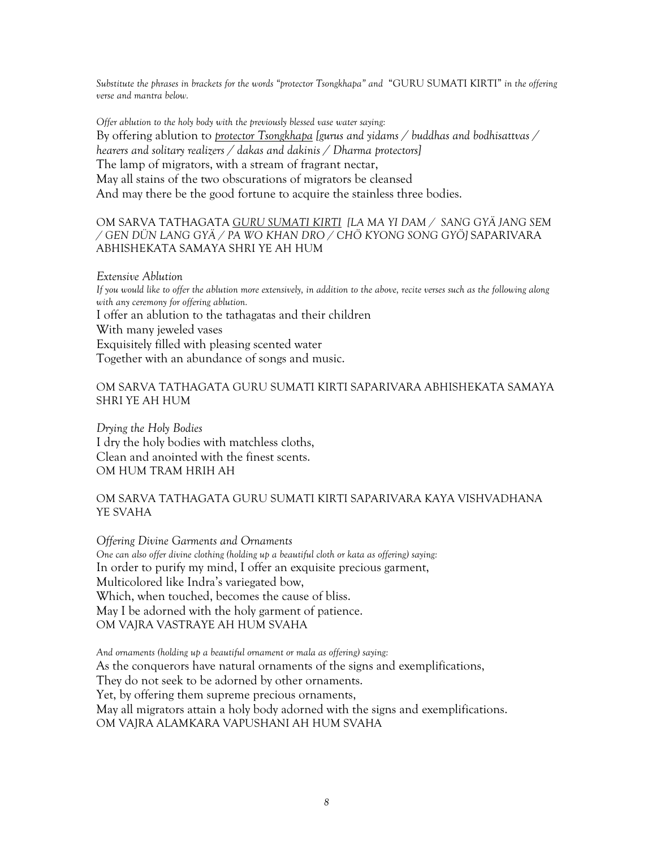*Substitute the phrases in brackets for the words "protector Tsongkhapa" and* "GURU SUMATI KIRTI" *in the offering verse and mantra below.*

*Offer ablution to the holy body with the previously blessed vase water saying:* By offering ablution to *protector Tsongkhapa [gurus and yidams / buddhas and bodhisattvas / hearers and solitary realizers / dakas and dakinis / Dharma protectors]* The lamp of migrators, with a stream of fragrant nectar, May all stains of the two obscurations of migrators be cleansed And may there be the good fortune to acquire the stainless three bodies.

# OM SARVA TATHAGATA *GURU SUMATI KIRTI [LA MA YI DAM / SANG GYÄ JANG SEM / GEN DÜN LANG GYÄ / PA WO KHAN DRO / CHÖ KYONG SONG GYÖ]* SAPARIVARA ABHISHEKATA SAMAYA SHRI YE AH HUM

*Extensive Ablution If you would like to offer the ablution more extensively, in addition to the above, recite verses such as the following along with any ceremony for offering ablution.* I offer an ablution to the tathagatas and their children With many jeweled vases Exquisitely filled with pleasing scented water Together with an abundance of songs and music.

# OM SARVA TATHAGATA GURU SUMATI KIRTI SAPARIVARA ABHISHEKATA SAMAYA SHRI YE AH HUM

*Drying the Holy Bodies* I dry the holy bodies with matchless cloths, Clean and anointed with the finest scents. OM HUM TRAM HRIH AH

# OM SARVA TATHAGATA GURU SUMATI KIRTI SAPARIVARA KAYA VISHVADHANA YE SVAHA

*Offering Divine Garments and Ornaments One can also offer divine clothing (holding up a beautiful cloth or kata as offering) saying:* In order to purify my mind, I offer an exquisite precious garment, Multicolored like Indra's variegated bow, Which, when touched, becomes the cause of bliss. May I be adorned with the holy garment of patience. OM VAJRA VASTRAYE AH HUM SVAHA

*And ornaments (holding up a beautiful ornament or mala as offering) saying:* As the conquerors have natural ornaments of the signs and exemplifications, They do not seek to be adorned by other ornaments. Yet, by offering them supreme precious ornaments, May all migrators attain a holy body adorned with the signs and exemplifications. OM VAJRA ALAMKARA VAPUSHANI AH HUM SVAHA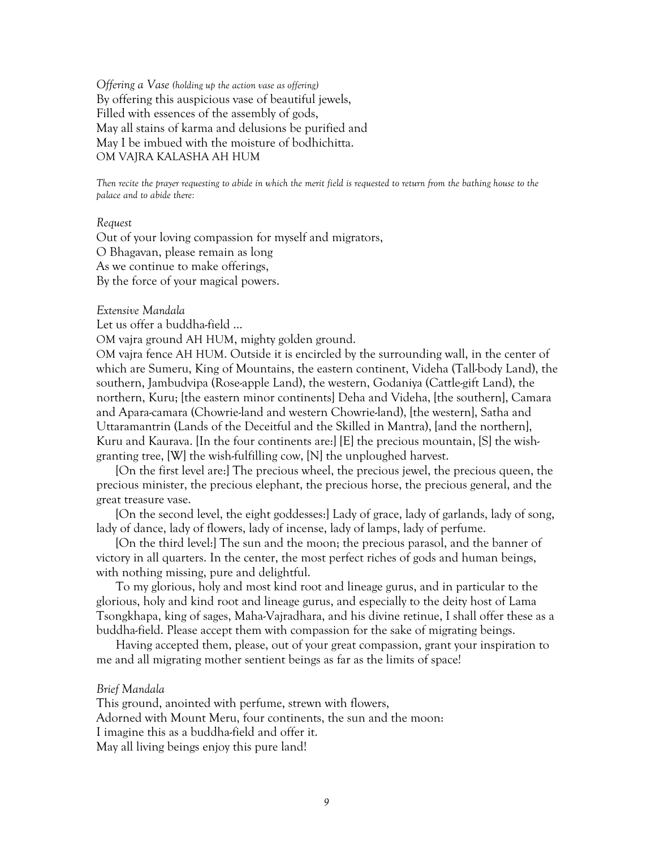*Offering a Vase (holding up the action vase as offering)* By offering this auspicious vase of beautiful jewels, Filled with essences of the assembly of gods, May all stains of karma and delusions be purified and May I be imbued with the moisture of bodhichitta. OM VAJRA KALASHA AH HUM

*Then recite the prayer requesting to abide in which the merit field is requested to return from the bathing house to the palace and to abide there:*

#### *Request*

Out of your loving compassion for myself and migrators, O Bhagavan, please remain as long As we continue to make offerings, By the force of your magical powers.

#### *Extensive Mandala*

Let us offer a buddha-field ...

OM vajra ground AH HUM, mighty golden ground.

OM vajra fence AH HUM. Outside it is encircled by the surrounding wall, in the center of which are Sumeru, King of Mountains, the eastern continent, Videha (Tall-body Land), the southern, Jambudvipa (Rose-apple Land), the western, Godaniya (Cattle-gift Land), the northern, Kuru; [the eastern minor continents] Deha and Videha, [the southern], Camara and Apara-camara (Chowrie-land and western Chowrie-land), [the western], Satha and Uttaramantrin (Lands of the Deceitful and the Skilled in Mantra), [and the northern], Kuru and Kaurava. [In the four continents are:] [E] the precious mountain, [S] the wishgranting tree, [W] the wish-fulfilling cow, [N] the unploughed harvest.

[On the first level are:] The precious wheel, the precious jewel, the precious queen, the precious minister, the precious elephant, the precious horse, the precious general, and the great treasure vase.

[On the second level, the eight goddesses:] Lady of grace, lady of garlands, lady of song, lady of dance, lady of flowers, lady of incense, lady of lamps, lady of perfume.

[On the third level:] The sun and the moon; the precious parasol, and the banner of victory in all quarters. In the center, the most perfect riches of gods and human beings, with nothing missing, pure and delightful.

To my glorious, holy and most kind root and lineage gurus, and in particular to the glorious, holy and kind root and lineage gurus, and especially to the deity host of Lama Tsongkhapa, king of sages, Maha-Vajradhara, and his divine retinue, I shall offer these as a buddha-field. Please accept them with compassion for the sake of migrating beings.

Having accepted them, please, out of your great compassion, grant your inspiration to me and all migrating mother sentient beings as far as the limits of space!

### *Brief Mandala*

This ground, anointed with perfume, strewn with flowers, Adorned with Mount Meru, four continents, the sun and the moon: I imagine this as a buddha-field and offer it. May all living beings enjoy this pure land!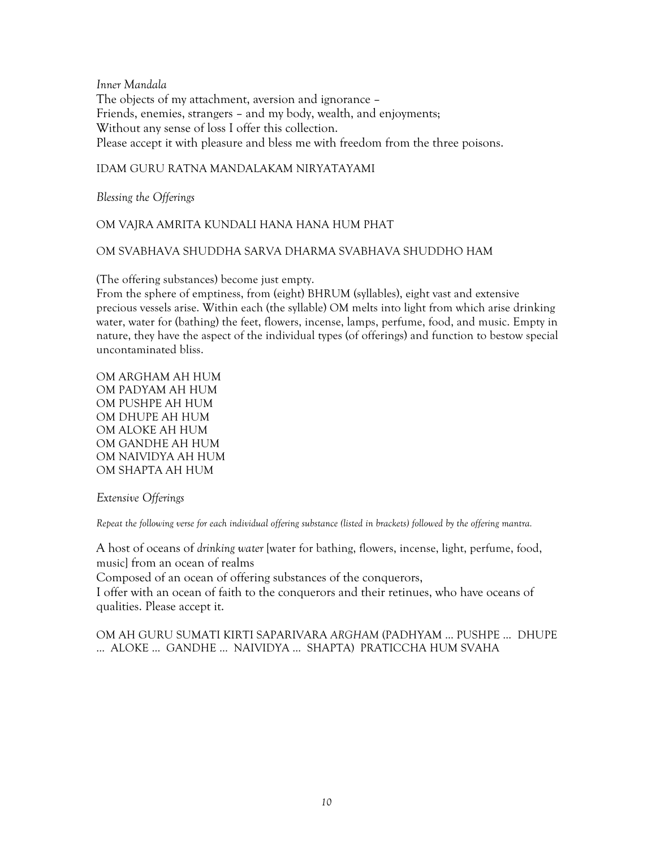*Inner Mandala* The objects of my attachment, aversion and ignorance – Friends, enemies, strangers – and my body, wealth, and enjoyments; Without any sense of loss I offer this collection. Please accept it with pleasure and bless me with freedom from the three poisons.

# IDAM GURU RATNA MANDALAKAM NIRYATAYAMI

*Blessing the Offerings*

# OM VAJRA AMRITA KUNDALI HANA HANA HUM PHAT

# OM SVABHAVA SHUDDHA SARVA DHARMA SVABHAVA SHUDDHO HAM

(The offering substances) become just empty.

From the sphere of emptiness, from (eight) BHRUM (syllables), eight vast and extensive precious vessels arise. Within each (the syllable) OM melts into light from which arise drinking water, water for (bathing) the feet, flowers, incense, lamps, perfume, food, and music. Empty in nature, they have the aspect of the individual types (of offerings) and function to bestow special uncontaminated bliss.

OM ARGHAM AH HUM OM PADYAM AH HUM OM PUSHPE AH HUM OM DHUPE AH HUM OM ALOKE AH HUM OM GANDHE AH HUM OM NAIVIDYA AH HUM OM SHAPTA AH HUM

# *Extensive Offerings*

*Repeat the following verse for each individual offering substance (listed in brackets) followed by the offering mantra.*

A host of oceans of *drinking water* [water for bathing, flowers, incense, light, perfume, food, music] from an ocean of realms

Composed of an ocean of offering substances of the conquerors,

I offer with an ocean of faith to the conquerors and their retinues, who have oceans of qualities. Please accept it.

OM AH GURU SUMATI KIRTI SAPARIVARA *ARGHAM* (PADHYAM … PUSHPE … DHUPE … ALOKE … GANDHE … NAIVIDYA … SHAPTA) PRATICCHA HUM SVAHA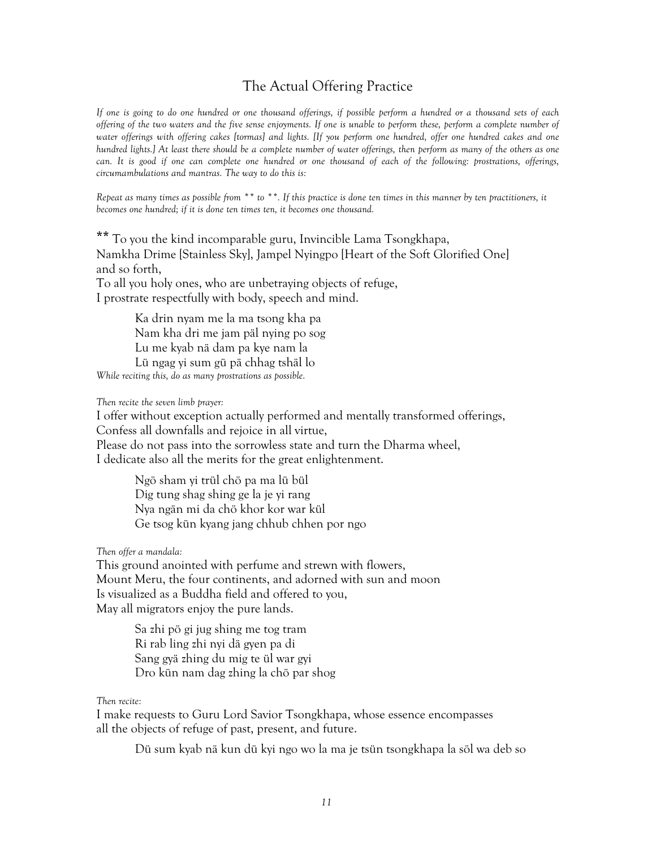# The Actual Offering Practice

*If one is going to do one hundred or one thousand offerings, if possible perform a hundred or a thousand sets of each offering of the two waters and the five sense enjoyments. If one is unable to perform these, perform a complete number of water offerings with offering cakes [tormas] and lights. [If you perform one hundred, offer one hundred cakes and one hundred lights.] At least there should be a complete number of water offerings, then perform as many of the others as one can. It is good if one can complete one hundred or one thousand of each of the following: prostrations, offerings, circumambulations and mantras. The way to do this is:*

*Repeat as many times as possible from \*\* to \*\*. If this practice is done ten times in this manner by ten practitioners, it becomes one hundred; if it is done ten times ten, it becomes one thousand.*

**\*\*** To you the kind incomparable guru, Invincible Lama Tsongkhapa, Namkha Drime [Stainless Sky], Jampel Nyingpo [Heart of the Soft Glorified One] and so forth,

To all you holy ones, who are unbetraying objects of refuge, I prostrate respectfully with body, speech and mind.

Ka drin nyam me la ma tsong kha pa Nam kha dri me jam päl nying po sog Lu me kyab nä dam pa kye nam la Lü ngag yi sum gü pä chhag tshäl lo *While reciting this, do as many prostrations as possible.*

*Then recite the seven limb prayer:*

I offer without exception actually performed and mentally transformed offerings, Confess all downfalls and rejoice in all virtue, Please do not pass into the sorrowless state and turn the Dharma wheel, I dedicate also all the merits for the great enlightenment.

Ngö sham yi trül chö pa ma lü bül Dig tung shag shing ge la je yi rang Nya ngän mi da chö khor kor war kül Ge tsog kün kyang jang chhub chhen por ngo

*Then offer a mandala:*

This ground anointed with perfume and strewn with flowers, Mount Meru, the four continents, and adorned with sun and moon Is visualized as a Buddha field and offered to you, May all migrators enjoy the pure lands.

> Sa zhi pö gi jug shing me tog tram Ri rab ling zhi nyi dä gyen pa di Sang gyä zhing du mig te ül war gyi Dro kün nam dag zhing la chö par shog

#### *Then recite:*

I make requests to Guru Lord Savior Tsongkhapa, whose essence encompasses all the objects of refuge of past, present, and future.

Dü sum kyab nä kun dü kyi ngo wo la ma je tsün tsongkhapa la söl wa deb so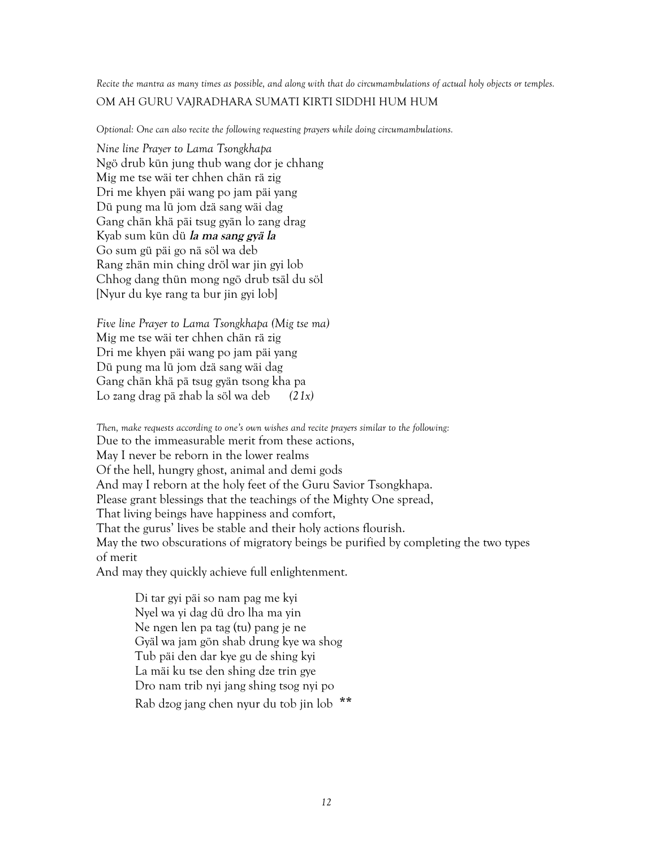*Recite the mantra as many times as possible, and along with that do circumambulations of actual holy objects or temples.*

#### OM AH GURU VAJRADHARA SUMATI KIRTI SIDDHI HUM HUM

*Optional: One can also recite the following requesting prayers while doing circumambulations.* 

*Nine line Prayer to Lama Tsongkhapa* Ngö drub kün jung thub wang dor je chhang Mig me tse wäi ter chhen chän rä zig Dri me khyen päi wang po jam päi yang Dü pung ma lü jom dzä sang wäi dag Gang chän khä päi tsug gyän lo zang drag Kyab sum kün dü **la ma sang gyä la**  Go sum gü päi go nä söl wa deb Rang zhän min ching dröl war jin gyi lob Chhog dang thün mong ngö drub tsäl du söl [Nyur du kye rang ta bur jin gyi lob]

*Five line Prayer to Lama Tsongkhapa (Mig tse ma)* Mig me tse wäi ter chhen chän rä zig Dri me khyen päi wang po jam päi yang Dü pung ma lü jom dzä sang wäi dag Gang chän khä pä tsug gyän tsong kha pa Lo zang drag pä zhab la söl wa deb *(21x)*

*Then, make requests according to one's own wishes and recite prayers similar to the following:* Due to the immeasurable merit from these actions, May I never be reborn in the lower realms Of the hell, hungry ghost, animal and demi gods And may I reborn at the holy feet of the Guru Savior Tsongkhapa. Please grant blessings that the teachings of the Mighty One spread, That living beings have happiness and comfort, That the gurus' lives be stable and their holy actions flourish. May the two obscurations of migratory beings be purified by completing the two types of merit

And may they quickly achieve full enlightenment.

Di tar gyi päi so nam pag me kyi Nyel wa yi dag dü dro lha ma yin Ne ngen len pa tag (tu) pang je ne Gyäl wa jam gön shab drung kye wa shog Tub päi den dar kye gu de shing kyi La mäi ku tse den shing dze trin gye Dro nam trib nyi jang shing tsog nyi po Rab dzog jang chen nyur du tob jin lob **\*\***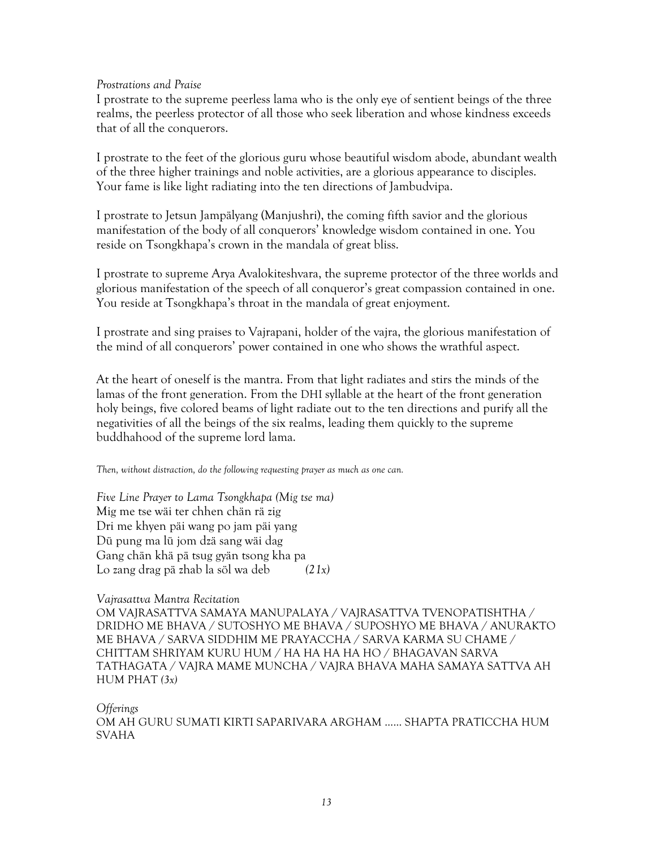### *Prostrations and Praise*

I prostrate to the supreme peerless lama who is the only eye of sentient beings of the three realms, the peerless protector of all those who seek liberation and whose kindness exceeds that of all the conquerors.

I prostrate to the feet of the glorious guru whose beautiful wisdom abode, abundant wealth of the three higher trainings and noble activities, are a glorious appearance to disciples. Your fame is like light radiating into the ten directions of Jambudvipa.

I prostrate to Jetsun Jampälyang (Manjushri), the coming fifth savior and the glorious manifestation of the body of all conquerors' knowledge wisdom contained in one. You reside on Tsongkhapa's crown in the mandala of great bliss.

I prostrate to supreme Arya Avalokiteshvara, the supreme protector of the three worlds and glorious manifestation of the speech of all conqueror's great compassion contained in one. You reside at Tsongkhapa's throat in the mandala of great enjoyment.

I prostrate and sing praises to Vajrapani, holder of the vajra, the glorious manifestation of the mind of all conquerors' power contained in one who shows the wrathful aspect.

At the heart of oneself is the mantra. From that light radiates and stirs the minds of the lamas of the front generation. From the DHI syllable at the heart of the front generation holy beings, five colored beams of light radiate out to the ten directions and purify all the negativities of all the beings of the six realms, leading them quickly to the supreme buddhahood of the supreme lord lama.

*Then, without distraction, do the following requesting prayer as much as one can.*

*Five Line Prayer to Lama Tsongkhapa (Mig tse ma)* Mig me tse wäi ter chhen chän rä zig Dri me khyen päi wang po jam päi yang Dü pung ma lü jom dzä sang wäi dag Gang chän khä pä tsug gyän tsong kha pa Lo zang drag pä zhab la söl wa deb *(21x)*

# *Vajrasattva Mantra Recitation*

OM VAJRASATTVA SAMAYA MANUPALAYA / VAJRASATTVA TVENOPATISHTHA / DRIDHO ME BHAVA / SUTOSHYO ME BHAVA / SUPOSHYO ME BHAVA / ANURAKTO ME BHAVA / SARVA SIDDHIM ME PRAYACCHA / SARVA KARMA SU CHAME / CHITTAM SHRIYAM KURU HUM / HA HA HA HA HO / BHAGAVAN SARVA TATHAGATA / VAJRA MAME MUNCHA / VAJRA BHAVA MAHA SAMAYA SATTVA AH HUM PHAT *(3x)*

*Offerings*

OM AH GURU SUMATI KIRTI SAPARIVARA ARGHAM …… SHAPTA PRATICCHA HUM SVAHA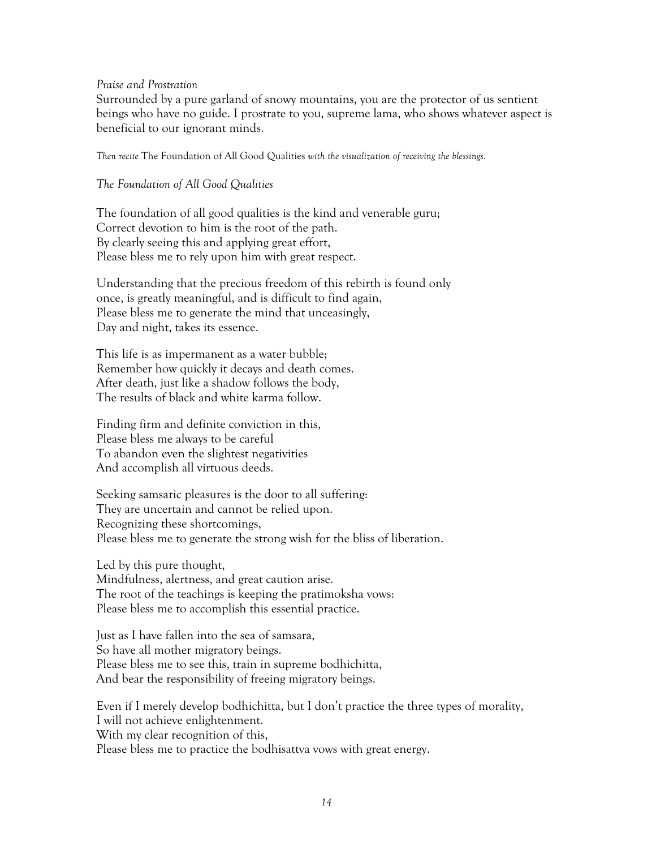### *Praise and Prostration*

Surrounded by a pure garland of snowy mountains, you are the protector of us sentient beings who have no guide. I prostrate to you, supreme lama, who shows whatever aspect is beneficial to our ignorant minds.

*Then recite* The Foundation of All Good Qualities *with the visualization of receiving the blessings.*

# *The Foundation of All Good Qualities*

The foundation of all good qualities is the kind and venerable guru; Correct devotion to him is the root of the path. By clearly seeing this and applying great effort, Please bless me to rely upon him with great respect.

Understanding that the precious freedom of this rebirth is found only once, is greatly meaningful, and is difficult to find again, Please bless me to generate the mind that unceasingly, Day and night, takes its essence.

This life is as impermanent as a water bubble; Remember how quickly it decays and death comes. After death, just like a shadow follows the body, The results of black and white karma follow.

Finding firm and definite conviction in this, Please bless me always to be careful To abandon even the slightest negativities And accomplish all virtuous deeds.

Seeking samsaric pleasures is the door to all suffering: They are uncertain and cannot be relied upon. Recognizing these shortcomings, Please bless me to generate the strong wish for the bliss of liberation.

Led by this pure thought, Mindfulness, alertness, and great caution arise. The root of the teachings is keeping the pratimoksha vows: Please bless me to accomplish this essential practice.

Just as I have fallen into the sea of samsara, So have all mother migratory beings. Please bless me to see this, train in supreme bodhichitta, And bear the responsibility of freeing migratory beings.

Even if I merely develop bodhichitta, but I don't practice the three types of morality, I will not achieve enlightenment. With my clear recognition of this, Please bless me to practice the bodhisattva vows with great energy.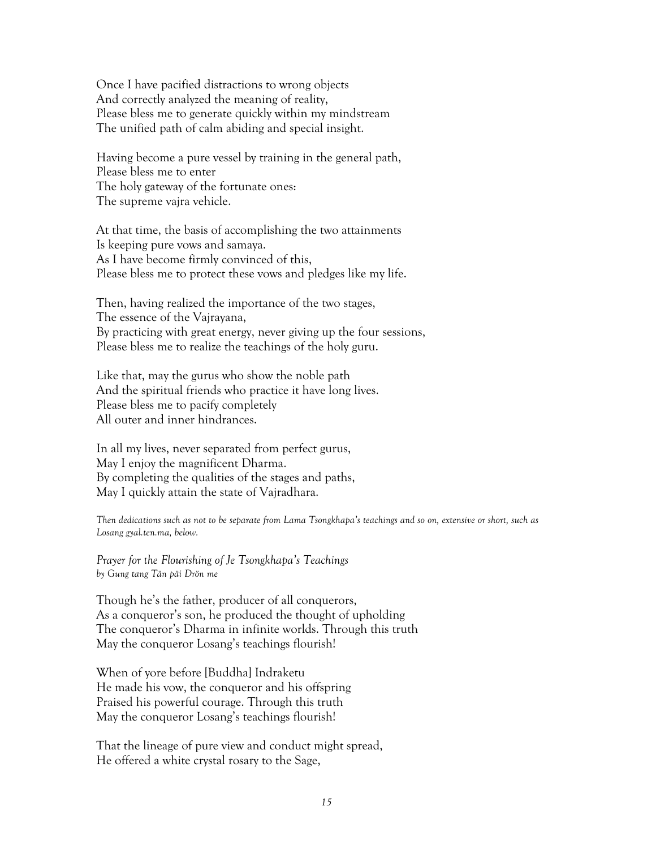Once I have pacified distractions to wrong objects And correctly analyzed the meaning of reality, Please bless me to generate quickly within my mindstream The unified path of calm abiding and special insight.

Having become a pure vessel by training in the general path, Please bless me to enter The holy gateway of the fortunate ones: The supreme vajra vehicle.

At that time, the basis of accomplishing the two attainments Is keeping pure vows and samaya. As I have become firmly convinced of this, Please bless me to protect these vows and pledges like my life.

Then, having realized the importance of the two stages, The essence of the Vajrayana, By practicing with great energy, never giving up the four sessions, Please bless me to realize the teachings of the holy guru.

Like that, may the gurus who show the noble path And the spiritual friends who practice it have long lives. Please bless me to pacify completely All outer and inner hindrances.

In all my lives, never separated from perfect gurus, May I enjoy the magnificent Dharma. By completing the qualities of the stages and paths, May I quickly attain the state of Vajradhara.

*Then dedications such as not to be separate from Lama Tsongkhapa's teachings and so on, extensive or short, such as Losang gyal.ten.ma, below.*

*Prayer for the Flourishing of Je Tsongkhapa's Teachings by Gung tang Tän päi Drön me*

Though he's the father, producer of all conquerors, As a conqueror's son, he produced the thought of upholding The conqueror's Dharma in infinite worlds. Through this truth May the conqueror Losang's teachings flourish!

When of yore before [Buddha] Indraketu He made his vow, the conqueror and his offspring Praised his powerful courage. Through this truth May the conqueror Losang's teachings flourish!

That the lineage of pure view and conduct might spread, He offered a white crystal rosary to the Sage,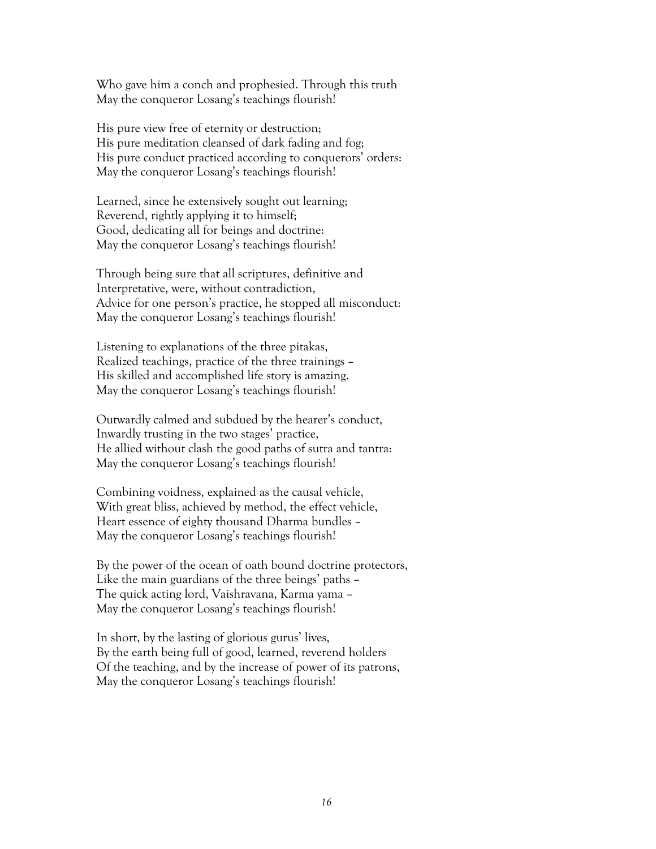Who gave him a conch and prophesied. Through this truth May the conqueror Losang's teachings flourish!

His pure view free of eternity or destruction; His pure meditation cleansed of dark fading and fog; His pure conduct practiced according to conquerors' orders: May the conqueror Losang's teachings flourish!

Learned, since he extensively sought out learning; Reverend, rightly applying it to himself; Good, dedicating all for beings and doctrine: May the conqueror Losang's teachings flourish!

Through being sure that all scriptures, definitive and Interpretative, were, without contradiction, Advice for one person's practice, he stopped all misconduct: May the conqueror Losang's teachings flourish!

Listening to explanations of the three pitakas, Realized teachings, practice of the three trainings – His skilled and accomplished life story is amazing. May the conqueror Losang's teachings flourish!

Outwardly calmed and subdued by the hearer's conduct, Inwardly trusting in the two stages' practice, He allied without clash the good paths of sutra and tantra: May the conqueror Losang's teachings flourish!

Combining voidness, explained as the causal vehicle, With great bliss, achieved by method, the effect vehicle, Heart essence of eighty thousand Dharma bundles – May the conqueror Losang's teachings flourish!

By the power of the ocean of oath bound doctrine protectors, Like the main guardians of the three beings' paths – The quick acting lord, Vaishravana, Karma yama – May the conqueror Losang's teachings flourish!

In short, by the lasting of glorious gurus' lives, By the earth being full of good, learned, reverend holders Of the teaching, and by the increase of power of its patrons, May the conqueror Losang's teachings flourish!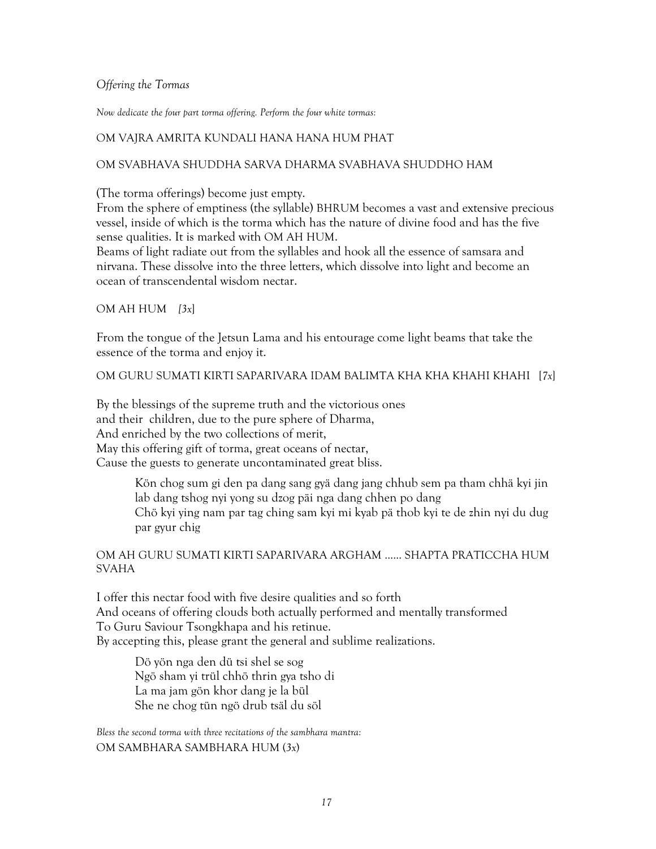# *Offering the Tormas*

*Now dedicate the four part torma offering. Perform the four white tormas:*

# OM VAJRA AMRITA KUNDALI HANA HANA HUM PHAT

# OM SVABHAVA SHUDDHA SARVA DHARMA SVABHAVA SHUDDHO HAM

(The torma offerings) become just empty.

From the sphere of emptiness (the syllable) BHRUM becomes a vast and extensive precious vessel, inside of which is the torma which has the nature of divine food and has the five sense qualities. It is marked with OM AH HUM.

Beams of light radiate out from the syllables and hook all the essence of samsara and nirvana. These dissolve into the three letters, which dissolve into light and become an ocean of transcendental wisdom nectar.

OM AH HUM *[3x*]

From the tongue of the Jetsun Lama and his entourage come light beams that take the essence of the torma and enjoy it.

OM GURU SUMATI KIRTI SAPARIVARA IDAM BALIMTA KHA KHA KHAHI KHAHI [*7x*]

By the blessings of the supreme truth and the victorious ones and their children, due to the pure sphere of Dharma, And enriched by the two collections of merit, May this offering gift of torma, great oceans of nectar, Cause the guests to generate uncontaminated great bliss.

> Kön chog sum gi den pa dang sang gyä dang jang chhub sem pa tham chhä kyi jin lab dang tshog nyi yong su dzog päi nga dang chhen po dang Chö kyi ying nam par tag ching sam kyi mi kyab pä thob kyi te de zhin nyi du dug par gyur chig

# OM AH GURU SUMATI KIRTI SAPARIVARA ARGHAM …… SHAPTA PRATICCHA HUM SVAHA

I offer this nectar food with five desire qualities and so forth And oceans of offering clouds both actually performed and mentally transformed To Guru Saviour Tsongkhapa and his retinue. By accepting this, please grant the general and sublime realizations.

Dö yön nga den dü tsi shel se sog Ngö sham yi trül chhö thrin gya tsho di La ma jam gön khor dang je la bül She ne chog tün ngö drub tsäl du söl

*Bless the second torma with three recitations of the sambhara mantra:* OM SAMBHARA SAMBHARA HUM (*3x*)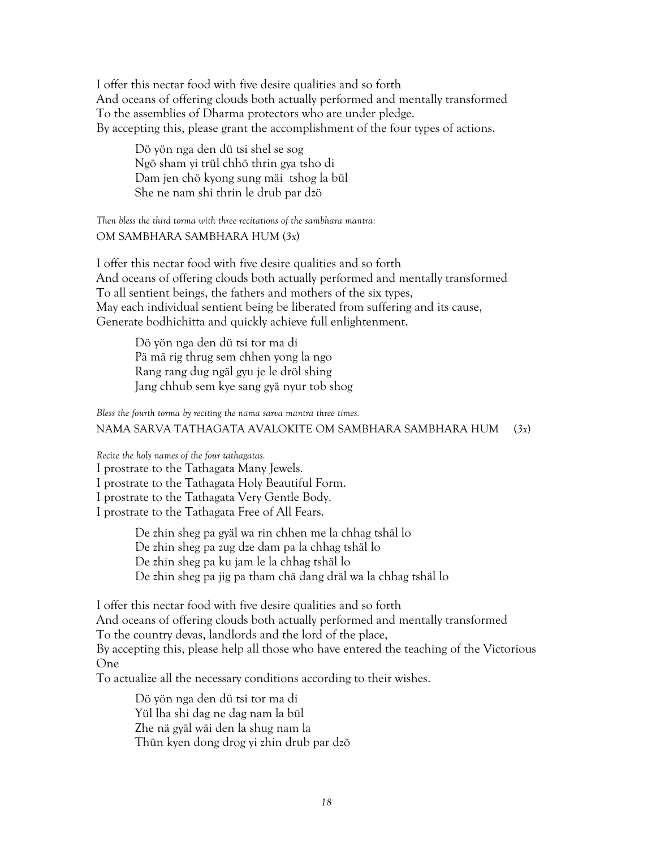I offer this nectar food with five desire qualities and so forth And oceans of offering clouds both actually performed and mentally transformed To the assemblies of Dharma protectors who are under pledge. By accepting this, please grant the accomplishment of the four types of actions.

Dö yön nga den dü tsi shel se sog Ngö sham yi trül chhö thrin gya tsho di Dam jen chö kyong sung mäi tshog la bül She ne nam shi thrin le drub par dzö

*Then bless the third torma with three recitations of the sambhara mantra:* OM SAMBHARA SAMBHARA HUM (*3x*)

I offer this nectar food with five desire qualities and so forth And oceans of offering clouds both actually performed and mentally transformed To all sentient beings, the fathers and mothers of the six types, May each individual sentient being be liberated from suffering and its cause, Generate bodhichitta and quickly achieve full enlightenment.

Dö yön nga den dü tsi tor ma di Pä mä rig thrug sem chhen yong la ngo Rang rang dug ngäl gyu je le dröl shing Jang chhub sem kye sang gyä nyur tob shog

*Bless the fourth torma by reciting the nama sarva mantra three times.* NAMA SARVA TATHAGATA AVALOKITE OM SAMBHARA SAMBHARA HUM (*3x*)

*Recite the holy names of the four tathagatas.* 

I prostrate to the Tathagata Many Jewels. I prostrate to the Tathagata Holy Beautiful Form. I prostrate to the Tathagata Very Gentle Body. I prostrate to the Tathagata Free of All Fears.

> De zhin sheg pa gyäl wa rin chhen me la chhag tshäl lo De zhin sheg pa zug dze dam pa la chhag tshäl lo De zhin sheg pa ku jam le la chhag tshäl lo De zhin sheg pa jig pa tham chä dang dräl wa la chhag tshäl lo

I offer this nectar food with five desire qualities and so forth And oceans of offering clouds both actually performed and mentally transformed To the country devas, landlords and the lord of the place, By accepting this, please help all those who have entered the teaching of the Victorious One

To actualize all the necessary conditions according to their wishes.

Dö yön nga den dü tsi tor ma di Yül lha shi dag ne dag nam la bül Zhe nä gyäl wäi den la shug nam la Thün kyen dong drog yi zhin drub par dzö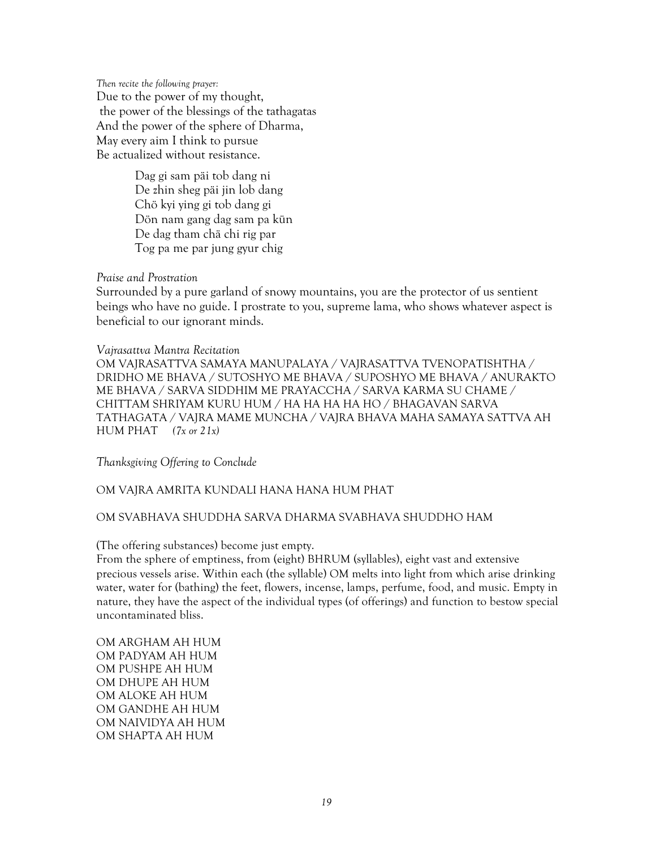*Then recite the following prayer:* Due to the power of my thought, the power of the blessings of the tathagatas And the power of the sphere of Dharma, May every aim I think to pursue Be actualized without resistance.

> Dag gi sam päi tob dang ni De zhin sheg päi jin lob dang Chö kyi ying gi tob dang gi Dön nam gang dag sam pa kün De dag tham chä chi rig par Tog pa me par jung gyur chig

# *Praise and Prostration*

Surrounded by a pure garland of snowy mountains, you are the protector of us sentient beings who have no guide. I prostrate to you, supreme lama, who shows whatever aspect is beneficial to our ignorant minds.

#### *Vajrasattva Mantra Recitation*

OM VAJRASATTVA SAMAYA MANUPALAYA / VAJRASATTVA TVENOPATISHTHA / DRIDHO ME BHAVA / SUTOSHYO ME BHAVA / SUPOSHYO ME BHAVA / ANURAKTO ME BHAVA / SARVA SIDDHIM ME PRAYACCHA / SARVA KARMA SU CHAME / CHITTAM SHRIYAM KURU HUM / HA HA HA HA HO / BHAGAVAN SARVA TATHAGATA / VAJRA MAME MUNCHA / VAJRA BHAVA MAHA SAMAYA SATTVA AH HUM PHAT *(7x or 21x)*

*Thanksgiving Offering to Conclude*

# OM VAJRA AMRITA KUNDALI HANA HANA HUM PHAT

# OM SVABHAVA SHUDDHA SARVA DHARMA SVABHAVA SHUDDHO HAM

# (The offering substances) become just empty.

From the sphere of emptiness, from (eight) BHRUM (syllables), eight vast and extensive precious vessels arise. Within each (the syllable) OM melts into light from which arise drinking water, water for (bathing) the feet, flowers, incense, lamps, perfume, food, and music. Empty in nature, they have the aspect of the individual types (of offerings) and function to bestow special uncontaminated bliss.

OM ARGHAM AH HUM OM PADYAM AH HUM OM PUSHPE AH HUM OM DHUPE AH HUM OM ALOKE AH HUM OM GANDHE AH HUM OM NAIVIDYA AH HUM OM SHAPTA AH HUM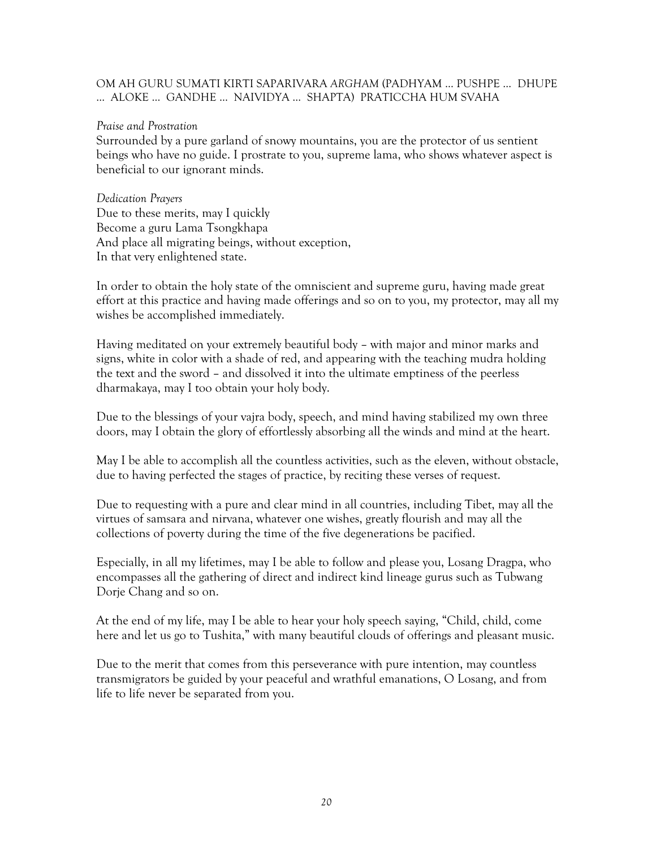# OM AH GURU SUMATI KIRTI SAPARIVARA *ARGHAM* (PADHYAM … PUSHPE … DHUPE … ALOKE … GANDHE … NAIVIDYA … SHAPTA) PRATICCHA HUM SVAHA

# *Praise and Prostration*

Surrounded by a pure garland of snowy mountains, you are the protector of us sentient beings who have no guide. I prostrate to you, supreme lama, who shows whatever aspect is beneficial to our ignorant minds.

# *Dedication Prayers*

Due to these merits, may I quickly Become a guru Lama Tsongkhapa And place all migrating beings, without exception, In that very enlightened state.

In order to obtain the holy state of the omniscient and supreme guru, having made great effort at this practice and having made offerings and so on to you, my protector, may all my wishes be accomplished immediately.

Having meditated on your extremely beautiful body – with major and minor marks and signs, white in color with a shade of red, and appearing with the teaching mudra holding the text and the sword – and dissolved it into the ultimate emptiness of the peerless dharmakaya, may I too obtain your holy body.

Due to the blessings of your vajra body, speech, and mind having stabilized my own three doors, may I obtain the glory of effortlessly absorbing all the winds and mind at the heart.

May I be able to accomplish all the countless activities, such as the eleven, without obstacle, due to having perfected the stages of practice, by reciting these verses of request.

Due to requesting with a pure and clear mind in all countries, including Tibet, may all the virtues of samsara and nirvana, whatever one wishes, greatly flourish and may all the collections of poverty during the time of the five degenerations be pacified.

Especially, in all my lifetimes, may I be able to follow and please you, Losang Dragpa, who encompasses all the gathering of direct and indirect kind lineage gurus such as Tubwang Dorje Chang and so on.

At the end of my life, may I be able to hear your holy speech saying, "Child, child, come here and let us go to Tushita," with many beautiful clouds of offerings and pleasant music.

Due to the merit that comes from this perseverance with pure intention, may countless transmigrators be guided by your peaceful and wrathful emanations, O Losang, and from life to life never be separated from you.